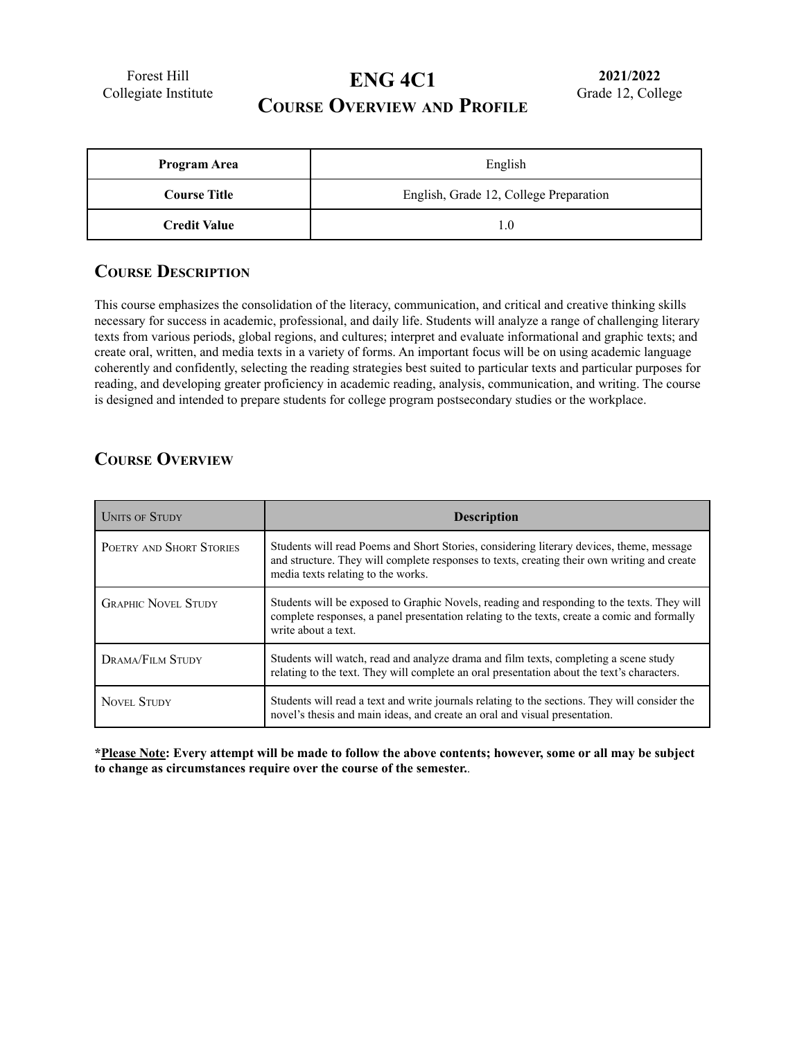Forest Hill Collegiate Institute

# **ENG 4C1**

**2021/2022** Grade 12, College

## **COURSE OVERVIEW AND PROFILE**

| <b>Program Area</b> | English                                |  |
|---------------------|----------------------------------------|--|
| <b>Course Title</b> | English, Grade 12, College Preparation |  |
| <b>Credit Value</b> |                                        |  |

#### **COURSE DESCRIPTION**

This course emphasizes the consolidation of the literacy, communication, and critical and creative thinking skills necessary for success in academic, professional, and daily life. Students will analyze a range of challenging literary texts from various periods, global regions, and cultures; interpret and evaluate informational and graphic texts; and create oral, written, and media texts in a variety of forms. An important focus will be on using academic language coherently and confidently, selecting the reading strategies best suited to particular texts and particular purposes for reading, and developing greater proficiency in academic reading, analysis, communication, and writing. The course is designed and intended to prepare students for college program postsecondary studies or the workplace.

### **COURSE OVERVIEW**

| <b>UNITS OF STUDY</b>      | <b>Description</b>                                                                                                                                                                                                            |
|----------------------------|-------------------------------------------------------------------------------------------------------------------------------------------------------------------------------------------------------------------------------|
| POETRY AND SHORT STORIES   | Students will read Poems and Short Stories, considering literary devices, theme, message<br>and structure. They will complete responses to texts, creating their own writing and create<br>media texts relating to the works. |
| <b>GRAPHIC NOVEL STUDY</b> | Students will be exposed to Graphic Novels, reading and responding to the texts. They will<br>complete responses, a panel presentation relating to the texts, create a comic and formally<br>write about a text.              |
| DRAMA/FILM STUDY           | Students will watch, read and analyze drama and film texts, completing a scene study<br>relating to the text. They will complete an oral presentation about the text's characters.                                            |
| <b>NOVEL STUDY</b>         | Students will read a text and write journals relating to the sections. They will consider the<br>novel's thesis and main ideas, and create an oral and visual presentation.                                                   |

\*Please Note: Every attempt will be made to follow the above contents; however, some or all may be subject **to change as circumstances require over the course of the semester.***.*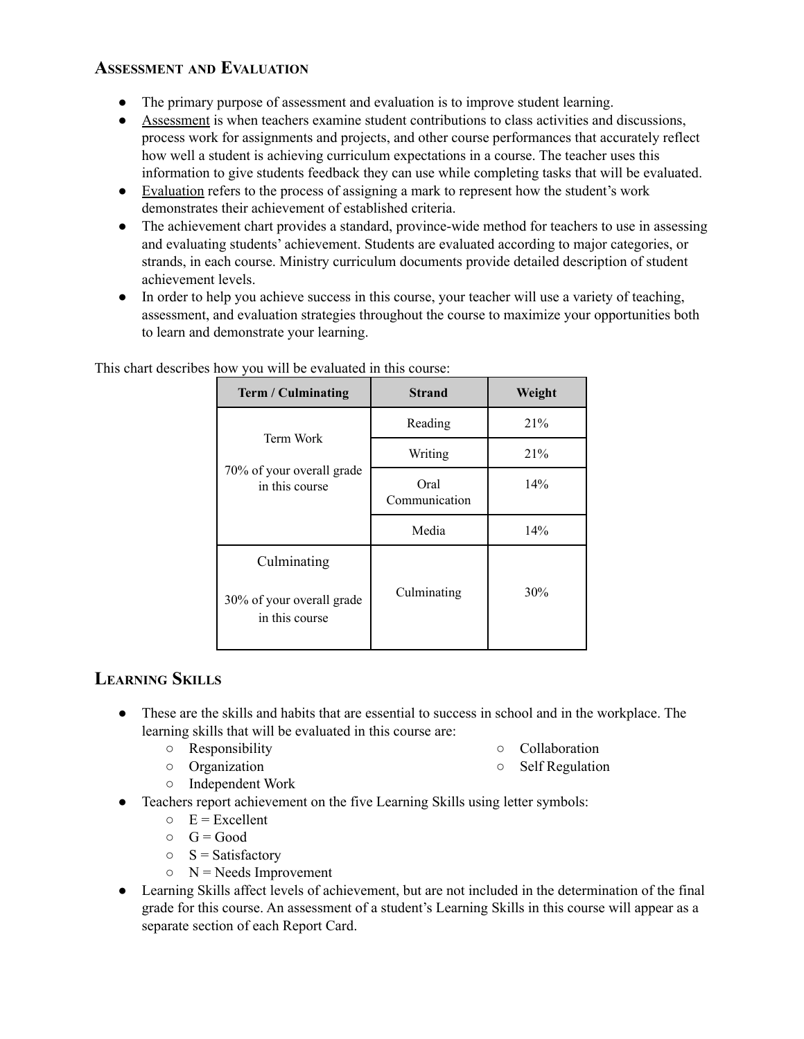## **ASSESSMENT AND EVALUATION**

- The primary purpose of assessment and evaluation is to improve student learning.
- Assessment is when teachers examine student contributions to class activities and discussions, process work for assignments and projects, and other course performances that accurately reflect how well a student is achieving curriculum expectations in a course. The teacher uses this information to give students feedback they can use while completing tasks that will be evaluated.
- Evaluation refers to the process of assigning a mark to represent how the student's work demonstrates their achievement of established criteria.
- The achievement chart provides a standard, province-wide method for teachers to use in assessing and evaluating students' achievement. Students are evaluated according to major categories, or strands, in each course. Ministry curriculum documents provide detailed description of student achievement levels.
- In order to help you achieve success in this course, your teacher will use a variety of teaching, assessment, and evaluation strategies throughout the course to maximize your opportunities both to learn and demonstrate your learning.

| Term / Culminating                                         | <b>Strand</b>         | Weight |
|------------------------------------------------------------|-----------------------|--------|
| Term Work<br>70% of your overall grade<br>in this course   | Reading               | 21%    |
|                                                            | Writing               | 21%    |
|                                                            | Oral<br>Communication | 14%    |
|                                                            | Media                 | 14%    |
| Culminating<br>30% of your overall grade<br>in this course | Culminating           | 30%    |

This chart describes how you will be evaluated in this course:

### **LEARNING SKILLS**

- These are the skills and habits that are essential to success in school and in the workplace. The learning skills that will be evaluated in this course are:
	- Responsibility

○ Collaboration

○ Organization

○ Self Regulation

- Independent Work
- Teachers report achievement on the five Learning Skills using letter symbols:
	- $E =$  Excellent
	- $\circ$  G = Good
	- $\circ$  S = Satisfactory
	- $\circ$  N = Needs Improvement
- Learning Skills affect levels of achievement, but are not included in the determination of the final grade for this course. An assessment of a student's Learning Skills in this course will appear as a separate section of each Report Card.